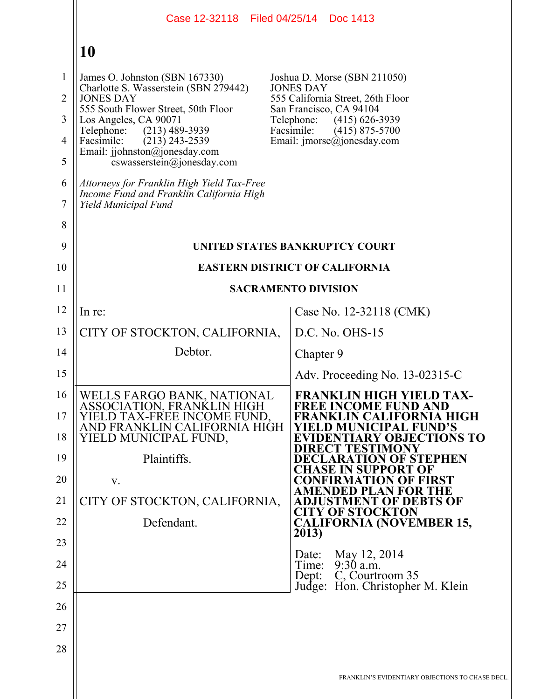|                | Case 12-32118 Filed 04/25/14 Doc 1413                                                                          |                                                                |
|----------------|----------------------------------------------------------------------------------------------------------------|----------------------------------------------------------------|
|                | 10                                                                                                             |                                                                |
| 1              | James O. Johnston (SBN 167330)<br>Charlotte S. Wasserstein (SBN 279442)                                        | Joshua D. Morse (SBN 211050)<br><b>JONES DAY</b>               |
| $\overline{2}$ | <b>JONES DAY</b>                                                                                               | 555 California Street, 26th Floor<br>San Francisco, CA 94104   |
| 3              | 555 South Flower Street, 50th Floor<br>Los Angeles, CA 90071                                                   | $(415)$ 626-3939<br>Telephone:<br>Facsimile:                   |
| $\overline{4}$ | Telephone:<br>$(213)$ 489-3939<br>Facsimile:<br>$(213)$ 243-2539                                               | $(415)$ 875-5700<br>Email: $\text{imorse}(a)$ jonesday.com     |
| 5              | Email: jjohnston@jonesday.com<br>cswasserstein@jonesday.com                                                    |                                                                |
| 6<br>$\tau$    | Attorneys for Franklin High Yield Tax-Free<br>Income Fund and Franklin California High<br>Yield Municipal Fund |                                                                |
| 8              |                                                                                                                |                                                                |
| 9              |                                                                                                                | UNITED STATES BANKRUPTCY COURT                                 |
| 10             |                                                                                                                | <b>EASTERN DISTRICT OF CALIFORNIA</b>                          |
| 11             |                                                                                                                | <b>SACRAMENTO DIVISION</b>                                     |
| 12             | In re:                                                                                                         | Case No. 12-32118 (CMK)                                        |
| 13             | CITY OF STOCKTON, CALIFORNIA,                                                                                  | D.C. No. OHS-15                                                |
| 14             | Debtor.                                                                                                        | Chapter 9                                                      |
| 15             |                                                                                                                | Adv. Proceeding No. 13-02315-C                                 |
| 16             | WELLS FARGO BANK, NATIONAL<br>ASSOCIATION, FRANKLIN HIGH                                                       | <b>FRANKLIN HIGH YIELD TAX-</b><br><b>FREE INCOME FUND AND</b> |
| 17             | YIELD TAX-FREE INCOME FUND,<br>AND FRANKLIN CALIFORNIA HIGH                                                    | <b>FRANKLIN CALIFORNIA HIGH</b><br>ELD MUNICIPAL FUND'S        |
| 18             | YIELD MUNICIPAL FUND,                                                                                          | EVIDENTIARY OBJECTIONS TO<br><b>DIRECT TESTIMONY</b>           |
| 19             | Plaintiffs.                                                                                                    | DECLARATION OF STEPHEN<br>CHASE IN SUPPORT OF                  |
| 20             | V.                                                                                                             | <b>CONFIRMATION OF FIRST</b><br><b>AMENDED PLAN FOR THE</b>    |
| 21             | CITY OF STOCKTON, CALIFORNIA,                                                                                  | <b>ADJUSTMENT OF DEBTS OF</b><br><b>CITY OF STOCKTON</b>       |
| 22             | Defendant.                                                                                                     | <b>CALIFORNIA (NOVEMBER 15,</b><br>2013)                       |
| 23             |                                                                                                                |                                                                |
| 24             |                                                                                                                | May 12, 2014<br>Date:<br>$9:30$ a.m.<br>Time:                  |
| 25             |                                                                                                                | C, Courtroom 35<br>Dept:<br>Judge: Hon. Christopher M. Klein   |
| 26             |                                                                                                                |                                                                |
| 27             |                                                                                                                |                                                                |
| 28             |                                                                                                                |                                                                |
|                |                                                                                                                | FRANKLIN'S EVIDENTIARY OBJECTIONS TO CHASE DECL.               |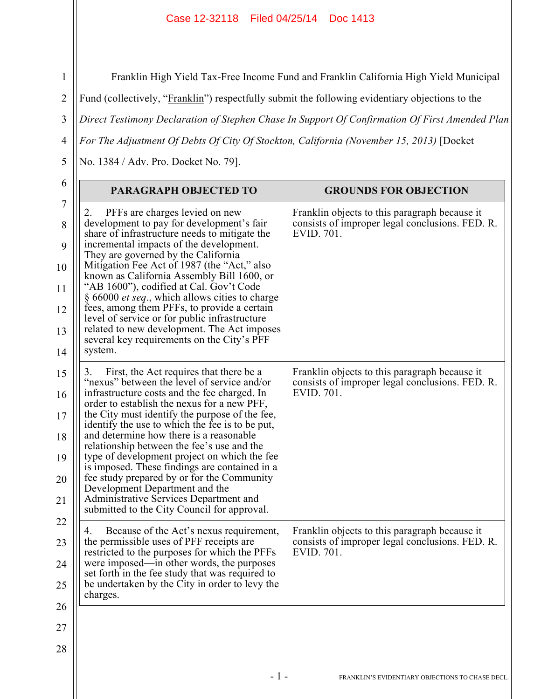Franklin High Yield Tax-Free Income Fund and Franklin California High Yield Municipal

Fund (collectively, "Franklin") respectfully submit the following evidentiary objections to the

3 *Direct Testimony Declaration of Stephen Chase In Support Of Confirmation Of First Amended Plan* 

*For The Adjustment Of Debts Of City Of Stockton, California (November 15, 2013)* [Docket

No. 1384 / Adv. Pro. Docket No. 79].

1

2

4

5

| PARAGRAPH OBJECTED TO                                                                                                                                                                                                                                                                                                                                                                                                                                                                                                                                                                                                                                               | <b>GROUNDS FOR OBJECTION</b>                                                                                   |
|---------------------------------------------------------------------------------------------------------------------------------------------------------------------------------------------------------------------------------------------------------------------------------------------------------------------------------------------------------------------------------------------------------------------------------------------------------------------------------------------------------------------------------------------------------------------------------------------------------------------------------------------------------------------|----------------------------------------------------------------------------------------------------------------|
| PFFs are charges levied on new<br>2.<br>development to pay for development's fair<br>share of infrastructure needs to mitigate the<br>incremental impacts of the development.<br>They are governed by the California<br>Mitigation Fee Act of 1987 (the "Act," also<br>known as California Assembly Bill 1600, or<br>"AB 1600"), codified at Cal. Gov't Code<br>$\S 66000$ <i>et seq.</i> , which allows cities to charge<br>fees, among them PFFs, to provide a certain<br>level of service or for public infrastructure<br>related to new development. The Act imposes<br>several key requirements on the City's PFF<br>system.                                   | Franklin objects to this paragraph because it<br>consists of improper legal conclusions. FED. R.<br>EVID. 701. |
| First, the Act requires that there be a<br>3.<br>"nexus" between the level of service and/or<br>infrastructure costs and the fee charged. In<br>order to establish the nexus for a new PFF,<br>the City must identify the purpose of the fee,<br>identify the use to which the fee is to be put,<br>and determine how there is a reasonable<br>relationship between the fee's use and the<br>type of development project on which the fee<br>is imposed. These findings are contained in a<br>fee study prepared by or for the Community<br>Development Department and the<br>Administrative Services Department and<br>submitted to the City Council for approval. | Franklin objects to this paragraph because it<br>consists of improper legal conclusions. FED. R.<br>EVID. 701. |
| Because of the Act's nexus requirement,<br>4.<br>the permissible uses of PFF receipts are<br>restricted to the purposes for which the PFFs<br>were imposed—in other words, the purposes<br>set forth in the fee study that was required to<br>be undertaken by the City in order to levy the<br>charges.                                                                                                                                                                                                                                                                                                                                                            | Franklin objects to this paragraph because it<br>consists of improper legal conclusions. FED. R.<br>EVID. 701. |
|                                                                                                                                                                                                                                                                                                                                                                                                                                                                                                                                                                                                                                                                     |                                                                                                                |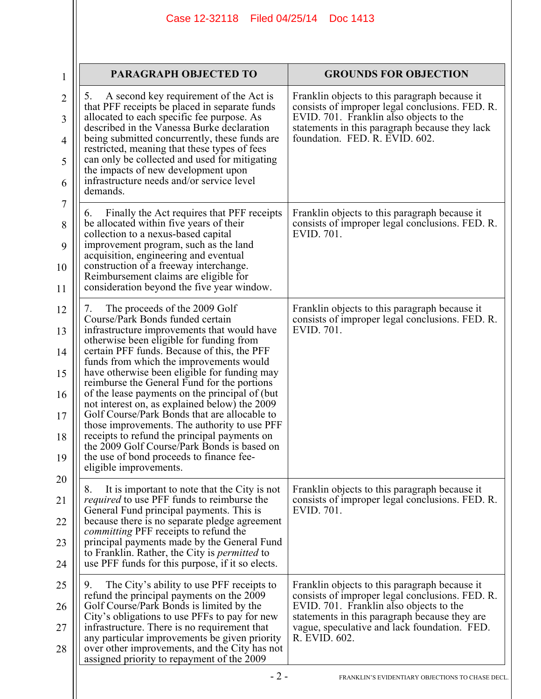| $\mathbf 1$                                  | <b>PARAGRAPH OBJECTED TO</b>                                                                                                                                                                                                                                                                                                                                                                                                                                                                                                                                                                                                                                                                                                         | <b>GROUNDS FOR OBJECTION</b>                                                                                                                                                                                                                                  |
|----------------------------------------------|--------------------------------------------------------------------------------------------------------------------------------------------------------------------------------------------------------------------------------------------------------------------------------------------------------------------------------------------------------------------------------------------------------------------------------------------------------------------------------------------------------------------------------------------------------------------------------------------------------------------------------------------------------------------------------------------------------------------------------------|---------------------------------------------------------------------------------------------------------------------------------------------------------------------------------------------------------------------------------------------------------------|
| $\overline{2}$<br>3<br>4<br>5<br>6           | A second key requirement of the Act is<br>5.<br>that PFF receipts be placed in separate funds<br>allocated to each specific fee purpose. As<br>described in the Vanessa Burke declaration<br>being submitted concurrently, these funds are<br>restricted, meaning that these types of fees<br>can only be collected and used for mitigating<br>the impacts of new development upon<br>infrastructure needs and/or service level<br>demands.                                                                                                                                                                                                                                                                                          | Franklin objects to this paragraph because it<br>consists of improper legal conclusions. FED. R.<br>EVID. 701. Franklin also objects to the<br>statements in this paragraph because they lack<br>foundation. FED. R. EVID. 602.                               |
| 7<br>8<br>9<br>10<br>11                      | Finally the Act requires that PFF receipts<br>6.<br>be allocated within five years of their<br>collection to a nexus-based capital<br>improvement program, such as the land<br>acquisition, engineering and eventual<br>construction of a freeway interchange.<br>Reimbursement claims are eligible for<br>consideration beyond the five year window.                                                                                                                                                                                                                                                                                                                                                                                | Franklin objects to this paragraph because it<br>consists of improper legal conclusions. FED. R.<br>EVID. 701.                                                                                                                                                |
| 12<br>13<br>14<br>15<br>16<br>17<br>18<br>19 | The proceeds of the 2009 Golf<br>7.<br>Course/Park Bonds funded certain<br>infrastructure improvements that would have<br>otherwise been eligible for funding from<br>certain PFF funds. Because of this, the PFF<br>funds from which the improvements would<br>have otherwise been eligible for funding may<br>reimburse the General Fund for the portions<br>of the lease payments on the principal of (but)<br>not interest on, as explained below) the 2009<br>Golf Course/Park Bonds that are allocable to<br>those improvements. The authority to use PFF<br>receipts to refund the principal payments on<br>the 2009 Golf Course/Park Bonds is based on<br>the use of bond proceeds to finance fee-<br>eligible improvements. | Franklin objects to this paragraph because it<br>consists of improper legal conclusions. FED. R.<br>EVID. 701.                                                                                                                                                |
| 20<br>21<br>22<br>23<br>24                   | It is important to note that the City is not<br>8.<br><i>required</i> to use PFF funds to reimburse the<br>General Fund principal payments. This is<br>because there is no separate pledge agreement<br><i>committing</i> PFF receipts to refund the<br>principal payments made by the General Fund<br>to Franklin. Rather, the City is <i>permitted</i> to<br>use PFF funds for this purpose, if it so elects.                                                                                                                                                                                                                                                                                                                      | Franklin objects to this paragraph because it<br>consists of improper legal conclusions. FED. R.<br>EVID. 701.                                                                                                                                                |
| 25<br>26<br>27<br>28                         | The City's ability to use PFF receipts to<br>9.<br>refund the principal payments on the 2009<br>Golf Course/Park Bonds is limited by the<br>City's obligations to use PFFs to pay for new<br>infrastructure. There is no requirement that<br>any particular improvements be given priority<br>over other improvements, and the City has not<br>assigned priority to repayment of the 2009                                                                                                                                                                                                                                                                                                                                            | Franklin objects to this paragraph because it<br>consists of improper legal conclusions. FED. R.<br>EVID. 701. Franklin also objects to the<br>statements in this paragraph because they are<br>vague, speculative and lack foundation. FED.<br>R. EVID. 602. |
|                                              | $-2-$                                                                                                                                                                                                                                                                                                                                                                                                                                                                                                                                                                                                                                                                                                                                | FRANKLIN'S EVIDENTIARY OBJECTIONS TO CHASE DECL.                                                                                                                                                                                                              |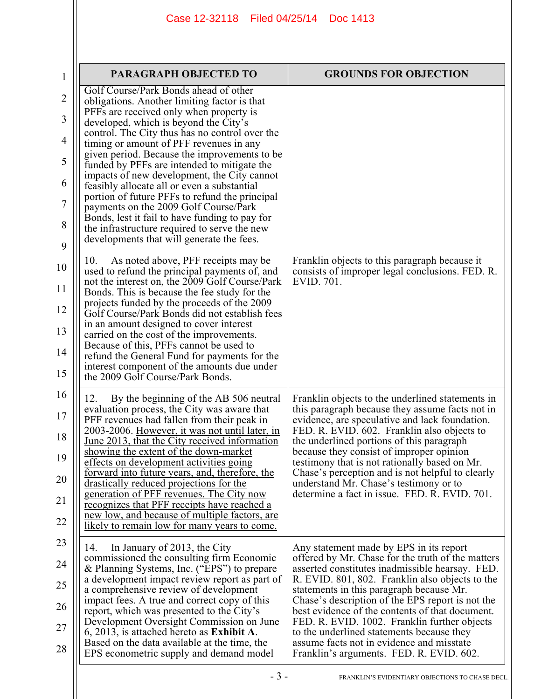| 1              | <b>PARAGRAPH OBJECTED TO</b>                                                                                                       | <b>GROUNDS FOR OBJECTION</b>                                                                                                                  |
|----------------|------------------------------------------------------------------------------------------------------------------------------------|-----------------------------------------------------------------------------------------------------------------------------------------------|
| $\overline{2}$ | Golf Course/Park Bonds ahead of other<br>obligations. Another limiting factor is that                                              |                                                                                                                                               |
| 3              | PFFs are received only when property is<br>developed, which is beyond the City's                                                   |                                                                                                                                               |
| 4              | control. The City thus has no control over the<br>timing or amount of PFF revenues in any                                          |                                                                                                                                               |
| 5              | given period. Because the improvements to be<br>funded by PFFs are intended to mitigate the                                        |                                                                                                                                               |
| 6              | impacts of new development, the City cannot<br>feasibly allocate all or even a substantial                                         |                                                                                                                                               |
| 7              | portion of future PFFs to refund the principal<br>payments on the 2009 Golf Course/Park                                            |                                                                                                                                               |
| 8              | Bonds, lest it fail to have funding to pay for<br>the infrastructure required to serve the new                                     |                                                                                                                                               |
| 9              | developments that will generate the fees.                                                                                          |                                                                                                                                               |
| 10             | As noted above, PFF receipts may be<br>10.<br>used to refund the principal payments of, and                                        | Franklin objects to this paragraph because it<br>consists of improper legal conclusions. FED. R.                                              |
| 11             | not the interest on, the 2009 Golf Course/Park<br>Bonds. This is because the fee study for the                                     | EVID. 701.                                                                                                                                    |
| 12             | projects funded by the proceeds of the 2009<br>Golf Course/Park Bonds did not establish fees                                       |                                                                                                                                               |
| 13             | in an amount designed to cover interest<br>carried on the cost of the improvements.                                                |                                                                                                                                               |
| 14             | Because of this, PFFs cannot be used to<br>refund the General Fund for payments for the                                            |                                                                                                                                               |
| 15             | interest component of the amounts due under<br>the 2009 Golf Course/Park Bonds.                                                    |                                                                                                                                               |
| 16             | By the beginning of the AB 506 neutral<br>12.                                                                                      | Franklin objects to the underlined statements in                                                                                              |
| 17             | evaluation process, the City was aware that<br>PFF revenues had fallen from their peak in                                          | this paragraph because they assume facts not in<br>evidence, are speculative and lack foundation.                                             |
| 18             | 2003-2006. However, it was not until later, in<br><u>June 2013, that the City received information</u>                             | FED. R. EVID. 602. Franklin also objects to<br>the underlined portions of this paragraph                                                      |
| 19             | showing the extent of the down-market<br>effects on development activities going<br>forward into future years, and, therefore, the | because they consist of improper opinion<br>testimony that is not rationally based on Mr.<br>Chase's perception and is not helpful to clearly |
| 20<br>21       | drastically reduced projections for the<br>generation of PFF revenues. The City now                                                | understand Mr. Chase's testimony or to<br>determine a fact in issue. FED. R. EVID. 701.                                                       |
| 22             | recognizes that PFF receipts have reached a<br>new low, and because of multiple factors, are                                       |                                                                                                                                               |
| 23             | likely to remain low for many years to come.<br>In January of 2013, the City<br>14.                                                | Any statement made by EPS in its report                                                                                                       |
| 24             | commissioned the consulting firm Economic<br>& Planning Systems, Inc. ("EPS") to prepare                                           | offered by Mr. Chase for the truth of the matters<br>asserted constitutes inadmissible hearsay. FED.                                          |
| 25             | a development impact review report as part of<br>a comprehensive review of development                                             | R. EVID. 801, 802. Franklin also objects to the<br>statements in this paragraph because Mr.                                                   |
| 26             | impact fees. A true and correct copy of this<br>report, which was presented to the City's                                          | Chase's description of the EPS report is not the<br>best evidence of the contents of that document.                                           |
| 27             | Development Oversight Commission on June<br>6, 2013, is attached hereto as Exhibit A.                                              | FED. R. EVID. 1002. Franklin further objects<br>to the underlined statements because they                                                     |
| 28             | Based on the data available at the time, the<br>EPS econometric supply and demand model                                            | assume facts not in evidence and misstate<br>Franklin's arguments. FED. R. EVID. 602.                                                         |
|                | $-3-$                                                                                                                              | FRANKLIN'S EVIDENTIARY OBJECTIONS TO CHASE DECL.                                                                                              |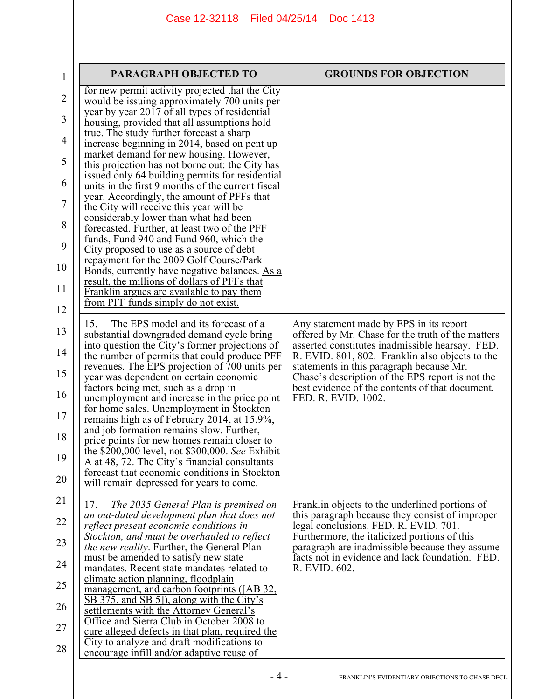| $\mathbf{1}$   | <b>PARAGRAPH OBJECTED TO</b>                                                                                                     | <b>GROUNDS FOR OBJECTION</b>                                                                         |
|----------------|----------------------------------------------------------------------------------------------------------------------------------|------------------------------------------------------------------------------------------------------|
| $\overline{2}$ | for new permit activity projected that the City<br>would be issuing approximately 700 units per                                  |                                                                                                      |
| 3              | year by year 2017 of all types of residential<br>housing, provided that all assumptions hold                                     |                                                                                                      |
| 4              | true. The study further forecast a sharp<br>increase beginning in 2014, based on pent up                                         |                                                                                                      |
| 5              | market demand for new housing. However,<br>this projection has not borne out: the City has                                       |                                                                                                      |
| 6              | issued only 64 building permits for residential<br>units in the first 9 months of the current fiscal                             |                                                                                                      |
| 7              | year. Accordingly, the amount of PFFs that<br>the City will receive this year will be                                            |                                                                                                      |
| 8              | considerably lower than what had been<br>forecasted. Further, at least two of the PFF<br>funds, Fund 940 and Fund 960, which the |                                                                                                      |
| 9              | City proposed to use as a source of debt<br>repayment for the 2009 Golf Course/Park                                              |                                                                                                      |
| 10             | Bonds, currently have negative balances. As a<br><u>result, the millions of dollars of PFFs that</u>                             |                                                                                                      |
| 11             | Franklin argues are available to pay them<br>from PFF funds simply do not exist.                                                 |                                                                                                      |
| 12             | The EPS model and its forecast of a<br>15.                                                                                       | Any statement made by EPS in its report                                                              |
| 13             | substantial downgraded demand cycle bring<br>into question the City's former projections of                                      | offered by Mr. Chase for the truth of the matters<br>asserted constitutes inadmissible hearsay. FED. |
| 14             | the number of permits that could produce PFF<br>revenues. The EPS projection of 700 units per                                    | R. EVID. 801, 802. Franklin also objects to the<br>statements in this paragraph because Mr.          |
| 15             | year was dependent on certain economic<br>factors being met, such as a drop in                                                   | Chase's description of the EPS report is not the<br>best evidence of the contents of that document.  |
| 16             | unemployment and increase in the price point<br>for home sales. Unemployment in Stockton                                         | FED. R. EVID. 1002.                                                                                  |
| 17             | remains high as of February 2014, at 15.9%,<br>and job formation remains slow. Further,                                          |                                                                                                      |
| 18             | price points for new homes remain closer to<br>the \$200,000 level, not \$300,000. See Exhibit                                   |                                                                                                      |
| 19             | A at 48, 72. The City's financial consultants<br>forecast that economic conditions in Stockton                                   |                                                                                                      |
| 20             | will remain depressed for years to come.                                                                                         |                                                                                                      |
| 21             | 17.<br>The 2035 General Plan is premised on<br>an out-dated development plan that does not                                       | Franklin objects to the underlined portions of<br>this paragraph because they consist of improper    |
| 22<br>23       | reflect present economic conditions in<br>Stockton, and must be overhauled to reflect                                            | legal conclusions. FED. R. EVID. 701.<br>Furthermore, the italicized portions of this                |
| 24             | <i>the new reality.</i> Further, the General Plan<br>must be amended to satisfy new state                                        | paragraph are inadmissible because they assume<br>facts not in evidence and lack foundation. FED.    |
| 25             | mandates. Recent state mandates related to<br>climate action planning, floodplain                                                | R. EVID. 602.                                                                                        |
| 26             | management, and carbon footprints ([AB 32,<br>SB 375, and SB 5]), along with the City's                                          |                                                                                                      |
| 27             | settlements with the Attorney General's<br>Office and Sierra Club in October 2008 to                                             |                                                                                                      |
| 28             | <u>cure alleged defects in that plan, required the</u><br>City to analyze and draft modifications to                             |                                                                                                      |
|                | encourage infill and/or adaptive reuse of                                                                                        |                                                                                                      |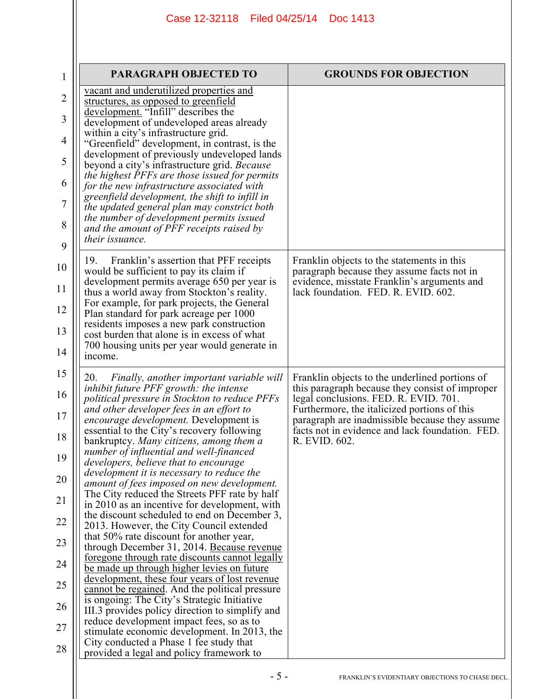| $\mathbf{1}$                                                                     | <b>PARAGRAPH OBJECTED TO</b>                                                                                                                                                                                                                                                                                                                                                                                                                                                                                                                                                                                                                                                                                                                                                                                                                                                                                                                                                                                                                                                                                                                                                                                                                                                                                 | <b>GROUNDS FOR OBJECTION</b>                                                                                                                                                                                                                                                                                     |
|----------------------------------------------------------------------------------|--------------------------------------------------------------------------------------------------------------------------------------------------------------------------------------------------------------------------------------------------------------------------------------------------------------------------------------------------------------------------------------------------------------------------------------------------------------------------------------------------------------------------------------------------------------------------------------------------------------------------------------------------------------------------------------------------------------------------------------------------------------------------------------------------------------------------------------------------------------------------------------------------------------------------------------------------------------------------------------------------------------------------------------------------------------------------------------------------------------------------------------------------------------------------------------------------------------------------------------------------------------------------------------------------------------|------------------------------------------------------------------------------------------------------------------------------------------------------------------------------------------------------------------------------------------------------------------------------------------------------------------|
| $\overline{2}$<br>3<br>4<br>5<br>6                                               | vacant and underutilized properties and<br>structures, as opposed to greenfield<br>development. "Infill" describes the<br>development of undeveloped areas already<br>within a city's infrastructure grid.<br>"Greenfield" development, in contrast, is the<br>development of previously undeveloped lands<br>beyond a city's infrastructure grid. Because<br>the highest PFFs are those issued for permits                                                                                                                                                                                                                                                                                                                                                                                                                                                                                                                                                                                                                                                                                                                                                                                                                                                                                                  |                                                                                                                                                                                                                                                                                                                  |
| 7<br>8<br>9                                                                      | for the new infrastructure associated with<br>greenfield development, the shift to infill in<br>the updated general plan may constrict both<br>the number of development permits issued<br>and the amount of PFF receipts raised by<br>their issuance.                                                                                                                                                                                                                                                                                                                                                                                                                                                                                                                                                                                                                                                                                                                                                                                                                                                                                                                                                                                                                                                       |                                                                                                                                                                                                                                                                                                                  |
| 10<br>11<br>12<br>13<br>14                                                       | Franklin's assertion that PFF receipts<br>19.<br>would be sufficient to pay its claim if<br>development permits average 650 per year is<br>thus a world away from Stockton's reality.<br>For example, for park projects, the General<br>Plan standard for park acreage per 1000<br>residents imposes a new park construction<br>cost burden that alone is in excess of what<br>700 housing units per year would generate in<br>income.                                                                                                                                                                                                                                                                                                                                                                                                                                                                                                                                                                                                                                                                                                                                                                                                                                                                       | Franklin objects to the statements in this<br>paragraph because they assume facts not in<br>evidence, misstate Franklin's arguments and<br>lack foundation. FED. R. EVID. 602.                                                                                                                                   |
| 15<br>16<br>17<br>18<br>19<br>20<br>21<br>22<br>23<br>24<br>25<br>26<br>27<br>28 | Finally, another important variable will<br>20.<br>inhibit future PFF growth: the intense<br>political pressure in Stockton to reduce PFFs<br>and other developer fees in an effort to<br>encourage development. Development is<br>essential to the City's recovery following<br>bankruptcy. Many citizens, among them a<br>number of influential and well-financed<br>developers, believe that to encourage<br>development it is necessary to reduce the<br>amount of fees imposed on new development.<br>The City reduced the Streets PFF rate by half<br>in 2010 as an incentive for development, with<br>the discount scheduled to end on December 3,<br>2013. However, the City Council extended<br>that 50% rate discount for another year,<br>through December 31, 2014. Because revenue<br><u>foregone through rate discounts cannot legally</u><br><u>be made up through higher levies on future</u><br><u>development, these four years of lost revenue</u><br>cannot be regained. And the political pressure<br>is ongoing: The City's Strategic Initiative<br>III.3 provides policy direction to simplify and<br>reduce development impact fees, so as to<br>stimulate economic development. In 2013, the<br>City conducted a Phase 1 fee study that<br>provided a legal and policy framework to | Franklin objects to the underlined portions of<br>this paragraph because they consist of improper<br>legal conclusions. FED. R. EVID. 701.<br>Furthermore, the italicized portions of this<br>paragraph are inadmissible because they assume<br>facts not in evidence and lack foundation. FED.<br>R. EVID. 602. |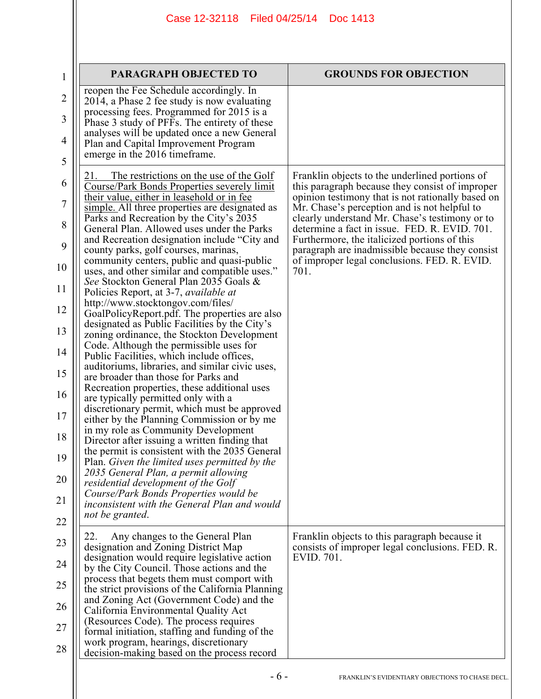| 1                   | PARAGRAPH OBJECTED TO                                                                                                                        | <b>GROUNDS FOR OBJECTION</b>                                                                                                                    |
|---------------------|----------------------------------------------------------------------------------------------------------------------------------------------|-------------------------------------------------------------------------------------------------------------------------------------------------|
| $\overline{2}$      | reopen the Fee Schedule accordingly. In<br>2014, a Phase 2 fee study is now evaluating<br>processing fees. Programmed for 2015 is a          |                                                                                                                                                 |
| 3                   | Phase 3 study of PFFs. The entirety of these<br>analyses will be updated once a new General                                                  |                                                                                                                                                 |
| $\overline{4}$<br>5 | Plan and Capital Improvement Program<br>emerge in the 2016 timeframe.                                                                        |                                                                                                                                                 |
| 6                   | The restrictions on the use of the Golf<br>Course/Park Bonds Properties severely limit                                                       | Franklin objects to the underlined portions of<br>this paragraph because they consist of improper                                               |
| $\overline{7}$      | their value, either in leasehold or in fee<br>simple. All three properties are designated as                                                 | opinion testimony that is not rationally based on<br>Mr. Chase's perception and is not helpful to                                               |
| 8                   | Parks and Recreation by the City's 2035<br>General Plan. Allowed uses under the Parks                                                        | clearly understand Mr. Chase's testimony or to<br>determine a fact in issue. FED. R. EVID. 701.                                                 |
| 9                   | and Recreation designation include "City and<br>county parks, golf courses, marinas,<br>community centers, public and quasi-public           | Furthermore, the italicized portions of this<br>paragraph are inadmissible because they consist<br>of improper legal conclusions. FED. R. EVID. |
| 10                  | uses, and other similar and compatible uses."<br>See Stockton General Plan 2035 Goals &                                                      | 701.                                                                                                                                            |
| 11<br>12            | Policies Report, at 3-7, <i>available at</i><br>http://www.stocktongov.com/files/                                                            |                                                                                                                                                 |
| 13                  | GoalPolicyReport.pdf. The properties are also<br>designated as Public Facilities by the City's<br>zoning ordinance, the Stockton Development |                                                                                                                                                 |
| 14                  | Code. Although the permissible uses for<br>Public Facilities, which include offices,                                                         |                                                                                                                                                 |
| 15                  | auditoriums, libraries, and similar civic uses,<br>are broader than those for Parks and                                                      |                                                                                                                                                 |
| 16                  | Recreation properties, these additional uses<br>are typically permitted only with a<br>discretionary permit, which must be approved          |                                                                                                                                                 |
| 17                  | either by the Planning Commission or by me<br>in my role as Community Development                                                            |                                                                                                                                                 |
| 18<br>19            | Director after issuing a written finding that<br>the permit is consistent with the 2035 General                                              |                                                                                                                                                 |
| 20                  | Plan. Given the limited uses permitted by the<br>2035 General Plan, a permit allowing<br>residential development of the Golf                 |                                                                                                                                                 |
| 21                  | Course/Park Bonds Properties would be<br>inconsistent with the General Plan and would                                                        |                                                                                                                                                 |
| 22                  | not be granted.                                                                                                                              |                                                                                                                                                 |
| 23                  | 22.<br>Any changes to the General Plan<br>designation and Zoning District Map                                                                | Franklin objects to this paragraph because it<br>consists of improper legal conclusions. FED. R.                                                |
| 24                  | designation would require legislative action<br>by the City Council. Those actions and the<br>process that begets them must comport with     | EVID. 701.                                                                                                                                      |
| 25                  | the strict provisions of the California Planning<br>and Zoning Act (Government Code) and the                                                 |                                                                                                                                                 |
| 26<br>27            | California Environmental Quality Act<br>(Resources Code). The process requires                                                               |                                                                                                                                                 |
| 28                  | formal initiation, staffing and funding of the<br>work program, hearings, discretionary<br>decision-making based on the process record       |                                                                                                                                                 |
|                     |                                                                                                                                              |                                                                                                                                                 |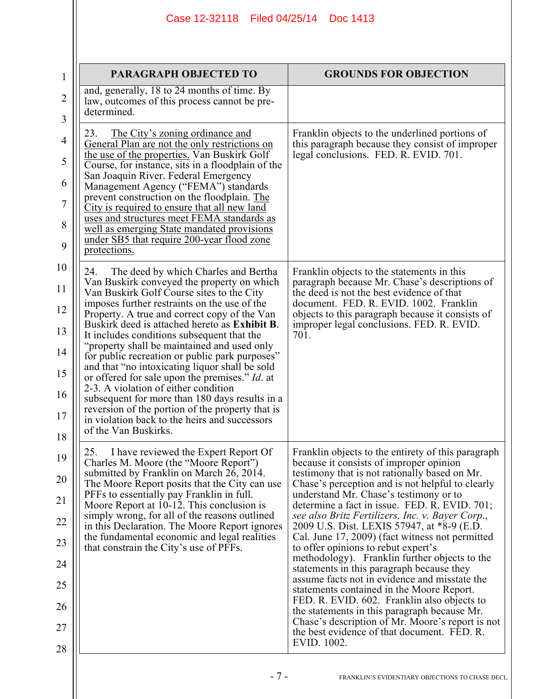| <b>PARAGRAPH OBJECTED TO</b>                                                                                                                                                                                                                                                                                                                                                                                                                                                                                                                                                                                                                                                                                                                                      | <b>GROUNDS FOR OBJECTION</b>                                                                                                                                                                                                                                                                                                                                                                                                                                                                                                                                                                                                                                                                                                                                                                                                                                                                           |
|-------------------------------------------------------------------------------------------------------------------------------------------------------------------------------------------------------------------------------------------------------------------------------------------------------------------------------------------------------------------------------------------------------------------------------------------------------------------------------------------------------------------------------------------------------------------------------------------------------------------------------------------------------------------------------------------------------------------------------------------------------------------|--------------------------------------------------------------------------------------------------------------------------------------------------------------------------------------------------------------------------------------------------------------------------------------------------------------------------------------------------------------------------------------------------------------------------------------------------------------------------------------------------------------------------------------------------------------------------------------------------------------------------------------------------------------------------------------------------------------------------------------------------------------------------------------------------------------------------------------------------------------------------------------------------------|
| and, generally, 18 to 24 months of time. By<br>law, outcomes of this process cannot be pre-<br>determined.                                                                                                                                                                                                                                                                                                                                                                                                                                                                                                                                                                                                                                                        |                                                                                                                                                                                                                                                                                                                                                                                                                                                                                                                                                                                                                                                                                                                                                                                                                                                                                                        |
| 23.<br>The City's zoning ordinance and<br>General Plan are not the only restrictions on<br>the use of the properties. Van Buskirk Golf<br>Course, for instance, sits in a floodplain of the<br>San Joaquin River. Federal Emergency<br>Management Agency ("FEMA") standards<br>prevent construction on the floodplain. The<br>City is required to ensure that all new land<br>uses and structures meet FEMA standards as<br>well as emerging State mandated provisions<br>under SB5 that require 200-year flood zone<br>protections.                                                                                                                                                                                                                              | Franklin objects to the underlined portions of<br>this paragraph because they consist of improper<br>legal conclusions. FED. R. EVID. 701.                                                                                                                                                                                                                                                                                                                                                                                                                                                                                                                                                                                                                                                                                                                                                             |
| 24.<br>The deed by which Charles and Bertha<br>Van Buskirk conveyed the property on which<br>Van Buskirk Golf Course sites to the City<br>imposes further restraints on the use of the<br>Property. A true and correct copy of the Van<br>Buskirk deed is attached hereto as Exhibit B.<br>It includes conditions subsequent that the<br>"property shall be maintained and used only<br>for public recreation or public park purposes"<br>and that "no intoxicating liquor shall be sold<br>or offered for sale upon the premises." Id. at<br>2-3. A violation of either condition<br>subsequent for more than 180 days results in a<br>reversion of the portion of the property that is<br>in violation back to the heirs and successors<br>of the Van Buskirks. | Franklin objects to the statements in this<br>paragraph because Mr. Chase's descriptions of<br>the deed is not the best evidence of that<br>document. FED. R. EVID. 1002. Franklin<br>objects to this paragraph because it consists of<br>improper legal conclusions. FED. R. EVID.<br>701.                                                                                                                                                                                                                                                                                                                                                                                                                                                                                                                                                                                                            |
| I have reviewed the Expert Report Of<br>25.<br>Charles M. Moore (the "Moore Report")<br>submitted by Franklin on March 26, 2014.<br>The Moore Report posits that the City can use<br>PFFs to essentially pay Franklin in full.<br>Moore Report at 10-12. This conclusion is<br>simply wrong, for all of the reasons outlined<br>in this Declaration. The Moore Report ignores<br>the fundamental economic and legal realities<br>that constrain the City's use of PFFs.                                                                                                                                                                                                                                                                                           | Franklin objects to the entirety of this paragraph<br>because it consists of improper opinion<br>testimony that is not rationally based on Mr.<br>Chase's perception and is not helpful to clearly<br>understand Mr. Chase's testimony or to<br>determine a fact in issue. FED. R. EVID. 701;<br>see also Britz Fertilizers, Inc. v. Bayer Corp.,<br>2009 U.S. Dist. LEXIS 57947, at *8-9 (E.D.<br>Cal. June 17, 2009) (fact witness not permitted<br>to offer opinions to rebut expert's<br>methodology). Franklin further objects to the<br>statements in this paragraph because they<br>assume facts not in evidence and misstate the<br>statements contained in the Moore Report.<br>FED. R. EVID. 602. Franklin also objects to<br>the statements in this paragraph because Mr.<br>Chase's description of Mr. Moore's report is not<br>the best evidence of that document. FED. R.<br>EVID. 1002. |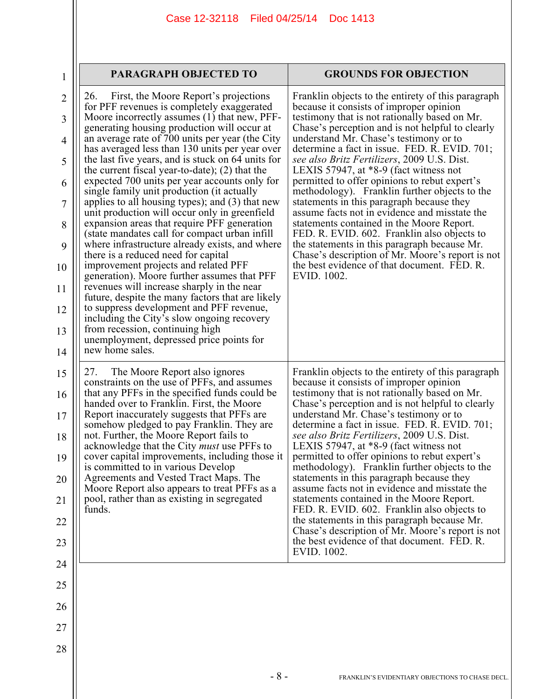| 1                   | <b>PARAGRAPH OBJECTED TO</b>                                                                                                                     | <b>GROUNDS FOR OBJECTION</b>                                                                                                                   |
|---------------------|--------------------------------------------------------------------------------------------------------------------------------------------------|------------------------------------------------------------------------------------------------------------------------------------------------|
| $\overline{2}$<br>3 | 26.<br>First, the Moore Report's projections<br>for PFF revenues is completely exaggerated<br>Moore incorrectly assumes (1) that new, PFF-       | Franklin objects to the entirety of this paragraph<br>because it consists of improper opinion<br>testimony that is not rationally based on Mr. |
| $\overline{4}$      | generating housing production will occur at<br>an average rate of 700 units per year (the City<br>has averaged less than 130 units per year over | Chase's perception and is not helpful to clearly<br>understand Mr. Chase's testimony or to<br>determine a fact in issue. FED. R. EVID. 701;    |
| 5                   | the last five years, and is stuck on 64 units for<br>the current fiscal year-to-date); $(2)$ that the                                            | see also Britz Fertilizers, 2009 U.S. Dist.<br>LEXIS 57947, at $*8-9$ (fact witness not                                                        |
| 6                   | expected 700 units per year accounts only for<br>single family unit production (it actually                                                      | permitted to offer opinions to rebut expert's<br>methodology). Franklin further objects to the                                                 |
| $\overline{7}$      | applies to all housing types); and $(3)$ that new<br>unit production will occur only in greenfield                                               | statements in this paragraph because they<br>assume facts not in evidence and misstate the                                                     |
| 8<br>9              | expansion areas that require PFF generation<br>(state mandates call for compact urban infill)<br>where infrastructure already exists, and where  | statements contained in the Moore Report.<br>FED. R. EVID. 602. Franklin also objects to<br>the statements in this paragraph because Mr.       |
| 10                  | there is a reduced need for capital<br>improvement projects and related PFF                                                                      | Chase's description of Mr. Moore's report is not<br>the best evidence of that document. FED. R.                                                |
| 11                  | generation). Moore further assumes that PFF<br>revenues will increase sharply in the near<br>future, despite the many factors that are likely    | EVID. 1002.                                                                                                                                    |
| 12                  | to suppress development and PFF revenue,<br>including the City's slow ongoing recovery                                                           |                                                                                                                                                |
| 13                  | from recession, continuing high<br>unemployment, depressed price points for                                                                      |                                                                                                                                                |
| 14                  | new home sales.                                                                                                                                  |                                                                                                                                                |
| 15                  | 27.<br>The Moore Report also ignores<br>constraints on the use of PFFs, and assumes                                                              | Franklin objects to the entirety of this paragraph<br>because it consists of improper opinion                                                  |
| 16                  | that any PFFs in the specified funds could be<br>handed over to Franklin. First, the Moore<br>Report inaccurately suggests that PFFs are         | testimony that is not rationally based on Mr.<br>Chase's perception and is not helpful to clearly<br>understand Mr. Chase's testimony or to    |
| 17<br>18            | somehow pledged to pay Franklin. They are<br>not. Further, the Moore Report fails to                                                             | determine a fact in issue. FED. R. EVID. 701;<br>see also Britz Fertilizers, 2009 U.S. Dist.                                                   |
| 19                  | acknowledge that the City <i>must</i> use PFFs to<br>cover capital improvements, including those it                                              | LEXIS 57947, at *8-9 (fact witness not<br>permitted to offer opinions to rebut expert's                                                        |
| 20                  | is committed to in various Develop<br>Agreements and Vested Tract Maps. The                                                                      | methodology). Franklin further objects to the<br>statements in this paragraph because they<br>assume facts not in evidence and misstate the    |
| 21                  | Moore Report also appears to treat PFFs as a<br>pool, rather than as existing in segregated<br>funds.                                            | statements contained in the Moore Report.<br>FED. R. EVID. 602. Franklin also objects to                                                       |
| 22                  |                                                                                                                                                  | the statements in this paragraph because Mr.<br>Chase's description of Mr. Moore's report is not                                               |
| 23                  |                                                                                                                                                  | the best evidence of that document. FED. R.<br>EVID. 1002.                                                                                     |
| 24                  |                                                                                                                                                  |                                                                                                                                                |
| 25                  |                                                                                                                                                  |                                                                                                                                                |
| 26                  |                                                                                                                                                  |                                                                                                                                                |
| 27                  |                                                                                                                                                  |                                                                                                                                                |
| 28                  |                                                                                                                                                  |                                                                                                                                                |